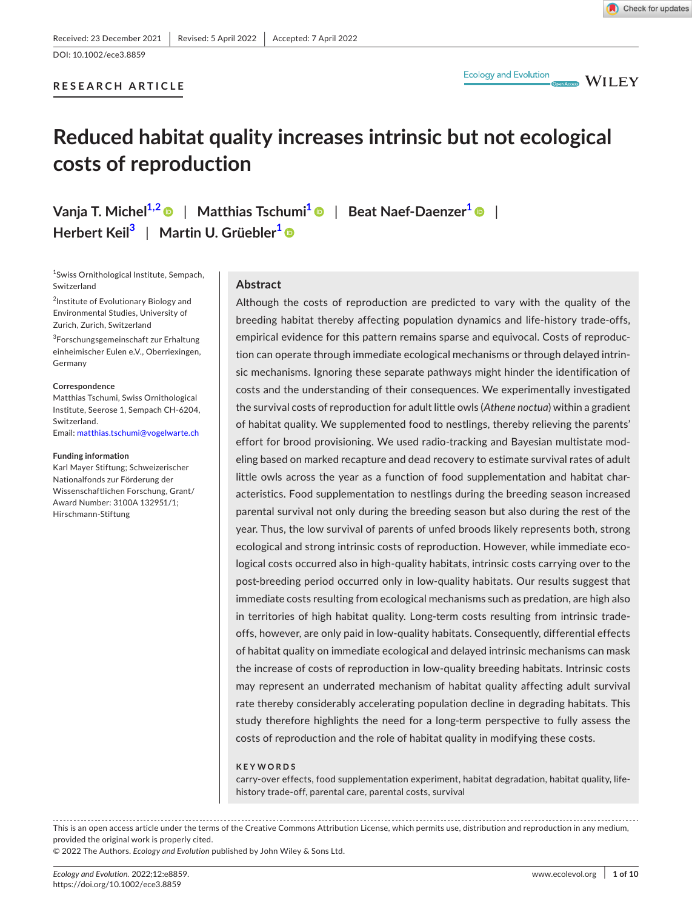# DOI: 10.1002/ece3.8859

# **RESEARCH ARTICLE**



 $\blacksquare$  WILEY

# **Reduced habitat quality increases intrinsic but not ecological costs of reproduction**

**Vanja T. Miche[l1,2](#page-0-0)** | **Matthias Tschumi[1](#page-0-0)** | **Beat Naef-Daenzer[1](#page-0-0)** | **Herbert Kei[l3](#page-0-1)** | **Martin U. Grüebler[1](#page-0-0)**

<span id="page-0-0"></span>1 Swiss Ornithological Institute, Sempach, Switzerland

2 Institute of Evolutionary Biology and Environmental Studies, University of Zurich, Zurich, Switzerland

<span id="page-0-1"></span>3 Forschungsgemeinschaft zur Erhaltung einheimischer Eulen e.V., Oberriexingen, Germany

#### **Correspondence**

Matthias Tschumi, Swiss Ornithological Institute, Seerose 1, Sempach CH-6204, Switzerland. Email: [matthias.tschumi@vogelwarte.ch](mailto:matthias.tschumi@vogelwarte.ch)

#### **Funding information**

Karl Mayer Stiftung; Schweizerischer Nationalfonds zur Förderung der Wissenschaftlichen Forschung, Grant/ Award Number: 3100A 132951/1; Hirschmann-Stiftung

## **Abstract**

Although the costs of reproduction are predicted to vary with the quality of the breeding habitat thereby affecting population dynamics and life-history trade-offs, empirical evidence for this pattern remains sparse and equivocal. Costs of reproduction can operate through immediate ecological mechanisms or through delayed intrinsic mechanisms. Ignoring these separate pathways might hinder the identification of costs and the understanding of their consequences. We experimentally investigated the survival costs of reproduction for adult little owls (*Athene noctua*) within a gradient of habitat quality. We supplemented food to nestlings, thereby relieving the parents' effort for brood provisioning. We used radio-tracking and Bayesian multistate modeling based on marked recapture and dead recovery to estimate survival rates of adult little owls across the year as a function of food supplementation and habitat characteristics. Food supplementation to nestlings during the breeding season increased parental survival not only during the breeding season but also during the rest of the year. Thus, the low survival of parents of unfed broods likely represents both, strong ecological and strong intrinsic costs of reproduction. However, while immediate ecological costs occurred also in high-quality habitats, intrinsic costs carrying over to the post-breeding period occurred only in low-quality habitats. Our results suggest that immediate costs resulting from ecological mechanisms such as predation, are high also in territories of high habitat quality. Long-term costs resulting from intrinsic tradeoffs, however, are only paid in low-quality habitats. Consequently, differential effects of habitat quality on immediate ecological and delayed intrinsic mechanisms can mask the increase of costs of reproduction in low-quality breeding habitats. Intrinsic costs may represent an underrated mechanism of habitat quality affecting adult survival rate thereby considerably accelerating population decline in degrading habitats. This study therefore highlights the need for a long-term perspective to fully assess the costs of reproduction and the role of habitat quality in modifying these costs.

#### **KEYWORDS**

carry-over effects, food supplementation experiment, habitat degradation, habitat quality, lifehistory trade-off, parental care, parental costs, survival

This is an open access article under the terms of the Creative Commons Attribution License, which permits use, distribution and reproduction in any medium, provided the original work is properly cited.

© 2022 The Authors. *Ecology and Evolution* published by John Wiley & Sons Ltd.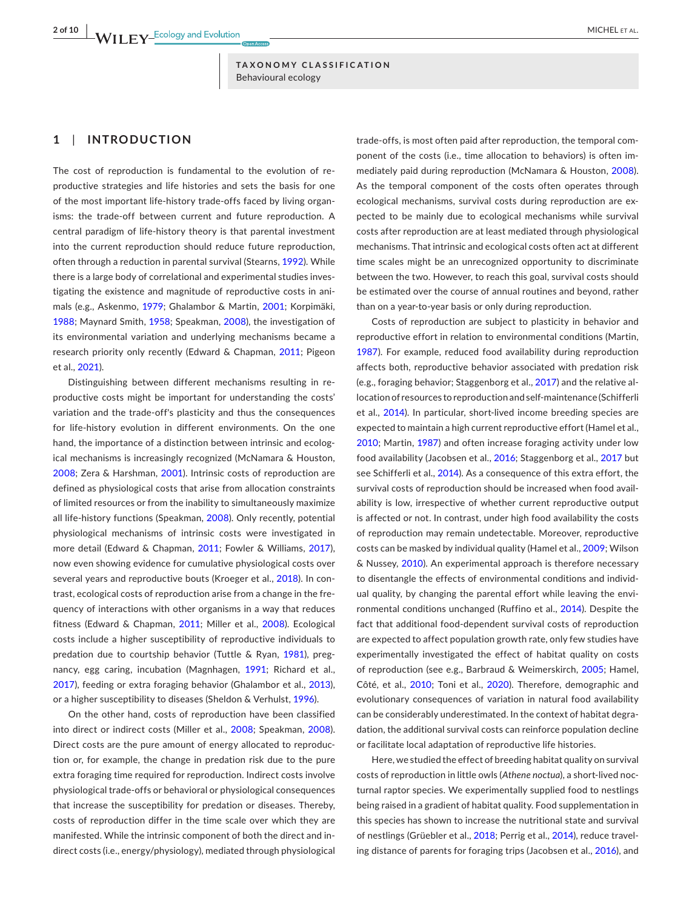## **1**  | **INTRODUCTION**

The cost of reproduction is fundamental to the evolution of reproductive strategies and life histories and sets the basis for one of the most important life-history trade-offs faced by living organisms: the trade-off between current and future reproduction. A central paradigm of life-history theory is that parental investment into the current reproduction should reduce future reproduction, often through a reduction in parental survival (Stearns, [1992](#page-9-0)). While there is a large body of correlational and experimental studies investigating the existence and magnitude of reproductive costs in animals (e.g., Askenmo, [1979;](#page-7-0) Ghalambor & Martin, [2001](#page-8-0); Korpimäki, [1988](#page-8-1); Maynard Smith, [1958](#page-8-2); Speakman, [2008](#page-9-1)), the investigation of its environmental variation and underlying mechanisms became a research priority only recently (Edward & Chapman, [2011;](#page-8-3) Pigeon et al., [2021](#page-9-2)).

Distinguishing between different mechanisms resulting in reproductive costs might be important for understanding the costs' variation and the trade-off's plasticity and thus the consequences for life-history evolution in different environments. On the one hand, the importance of a distinction between intrinsic and ecological mechanisms is increasingly recognized (McNamara & Houston, [2008](#page-8-4); Zera & Harshman, [2001\)](#page-9-3). Intrinsic costs of reproduction are defined as physiological costs that arise from allocation constraints of limited resources or from the inability to simultaneously maximize all life-history functions (Speakman, [2008](#page-9-1)). Only recently, potential physiological mechanisms of intrinsic costs were investigated in more detail (Edward & Chapman, [2011](#page-8-3); Fowler & Williams, [2017](#page-8-5)), now even showing evidence for cumulative physiological costs over several years and reproductive bouts (Kroeger et al., [2018\)](#page-8-6). In contrast, ecological costs of reproduction arise from a change in the frequency of interactions with other organisms in a way that reduces fitness (Edward & Chapman, [2011](#page-8-3); Miller et al., [2008](#page-8-7)). Ecological costs include a higher susceptibility of reproductive individuals to predation due to courtship behavior (Tuttle & Ryan, [1981](#page-9-4)), pregnancy, egg caring, incubation (Magnhagen, [1991](#page-8-8); Richard et al., [2017](#page-9-5)), feeding or extra foraging behavior (Ghalambor et al., [2013](#page-8-9)), or a higher susceptibility to diseases (Sheldon & Verhulst, [1996](#page-9-6)).

On the other hand, costs of reproduction have been classified into direct or indirect costs (Miller et al., [2008](#page-8-7); Speakman, [2008](#page-9-1)). Direct costs are the pure amount of energy allocated to reproduction or, for example, the change in predation risk due to the pure extra foraging time required for reproduction. Indirect costs involve physiological trade-offs or behavioral or physiological consequences that increase the susceptibility for predation or diseases. Thereby, costs of reproduction differ in the time scale over which they are manifested. While the intrinsic component of both the direct and indirect costs (i.e., energy/physiology), mediated through physiological

trade-offs, is most often paid after reproduction, the temporal component of the costs (i.e., time allocation to behaviors) is often immediately paid during reproduction (McNamara & Houston, [2008\)](#page-8-4). As the temporal component of the costs often operates through ecological mechanisms, survival costs during reproduction are expected to be mainly due to ecological mechanisms while survival costs after reproduction are at least mediated through physiological mechanisms. That intrinsic and ecological costs often act at different time scales might be an unrecognized opportunity to discriminate between the two. However, to reach this goal, survival costs should be estimated over the course of annual routines and beyond, rather than on a year-to-year basis or only during reproduction.

Costs of reproduction are subject to plasticity in behavior and reproductive effort in relation to environmental conditions (Martin, [1987](#page-8-10)). For example, reduced food availability during reproduction affects both, reproductive behavior associated with predation risk (e.g., foraging behavior; Staggenborg et al., [2017](#page-9-7)) and the relative allocation ofresources to reproduction and self-maintenance (Schifferli et al., [2014](#page-9-8)). In particular, short-lived income breeding species are expected to maintain a high current reproductive effort (Hamel et al., [2010](#page-8-11); Martin, [1987](#page-8-10)) and often increase foraging activity under low food availability (Jacobsen et al., [2016;](#page-8-12) Staggenborg et al., [2017](#page-9-7) but see Schifferli et al., [2014\)](#page-9-8). As a consequence of this extra effort, the survival costs of reproduction should be increased when food availability is low, irrespective of whether current reproductive output is affected or not. In contrast, under high food availability the costs of reproduction may remain undetectable. Moreover, reproductive costs can be masked by individual quality (Hamel et al., [2009](#page-8-13); Wilson & Nussey, [2010](#page-9-9)). An experimental approach is therefore necessary to disentangle the effects of environmental conditions and individual quality, by changing the parental effort while leaving the environmental conditions unchanged (Ruffino et al., [2014](#page-9-10)). Despite the fact that additional food-dependent survival costs of reproduction are expected to affect population growth rate, only few studies have experimentally investigated the effect of habitat quality on costs of reproduction (see e.g., Barbraud & Weimerskirch, [2005](#page-7-1); Hamel, Côté, et al., [2010](#page-8-11); Toni et al., [2020](#page-9-11)). Therefore, demographic and evolutionary consequences of variation in natural food availability can be considerably underestimated. In the context of habitat degradation, the additional survival costs can reinforce population decline or facilitate local adaptation of reproductive life histories.

Here, we studied the effect of breeding habitat quality on survival costs of reproduction in little owls (*Athene noctua*), a short-lived nocturnal raptor species. We experimentally supplied food to nestlings being raised in a gradient of habitat quality. Food supplementation in this species has shown to increase the nutritional state and survival of nestlings (Grüebler et al., [2018](#page-8-14); Perrig et al., [2014](#page-8-15)), reduce travel-ing distance of parents for foraging trips (Jacobsen et al., [2016](#page-8-12)), and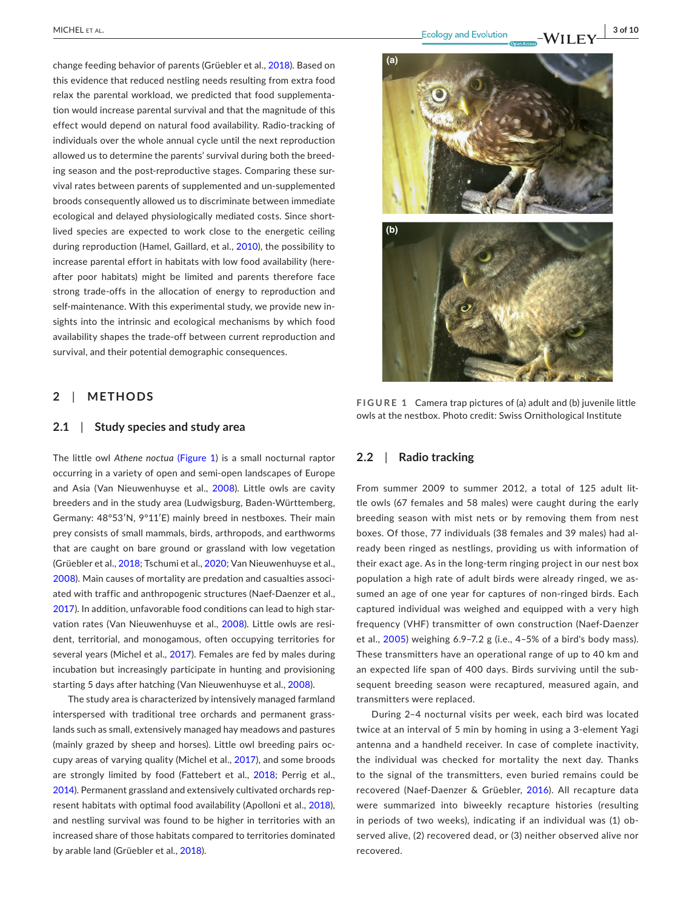change feeding behavior of parents (Grüebler et al., [2018](#page-8-14)). Based on this evidence that reduced nestling needs resulting from extra food relax the parental workload, we predicted that food supplementation would increase parental survival and that the magnitude of this effect would depend on natural food availability. Radio-tracking of individuals over the whole annual cycle until the next reproduction allowed us to determine the parents' survival during both the breeding season and the post-reproductive stages. Comparing these survival rates between parents of supplemented and un-supplemented broods consequently allowed us to discriminate between immediate ecological and delayed physiologically mediated costs. Since shortlived species are expected to work close to the energetic ceiling during reproduction (Hamel, Gaillard, et al., [2010](#page-8-16)), the possibility to increase parental effort in habitats with low food availability (hereafter poor habitats) might be limited and parents therefore face strong trade-offs in the allocation of energy to reproduction and self-maintenance. With this experimental study, we provide new insights into the intrinsic and ecological mechanisms by which food availability shapes the trade-off between current reproduction and survival, and their potential demographic consequences.

## **2**  | **METHODS**

#### **2.1**  | **Study species and study area**

The little owl *Athene noctua* (Figure [1\)](#page-2-0) is a small nocturnal raptor occurring in a variety of open and semi-open landscapes of Europe and Asia (Van Nieuwenhuyse et al., [2008](#page-9-12)). Little owls are cavity breeders and in the study area (Ludwigsburg, Baden-Württemberg, Germany: 48°53′N, 9°11′E) mainly breed in nestboxes. Their main prey consists of small mammals, birds, arthropods, and earthworms that are caught on bare ground or grassland with low vegetation (Grüebler et al., [2018](#page-8-14); Tschumi et al., [2020](#page-9-13); Van Nieuwenhuyse et al., [2008](#page-9-12)). Main causes of mortality are predation and casualties associated with traffic and anthropogenic structures (Naef-Daenzer et al., [2017](#page-8-17)). In addition, unfavorable food conditions can lead to high starvation rates (Van Nieuwenhuyse et al., [2008](#page-9-12)). Little owls are resident, territorial, and monogamous, often occupying territories for several years (Michel et al., [2017\)](#page-8-18). Females are fed by males during incubation but increasingly participate in hunting and provisioning starting 5 days after hatching (Van Nieuwenhuyse et al., [2008](#page-9-12)).

The study area is characterized by intensively managed farmland interspersed with traditional tree orchards and permanent grasslands such as small, extensively managed hay meadows and pastures (mainly grazed by sheep and horses). Little owl breeding pairs occupy areas of varying quality (Michel et al., [2017](#page-8-18)), and some broods are strongly limited by food (Fattebert et al., [2018](#page-8-19); Perrig et al., [2014\)](#page-8-15). Permanent grassland and extensively cultivated orchards represent habitats with optimal food availability (Apolloni et al., [2018](#page-7-2)), and nestling survival was found to be higher in territories with an increased share of those habitats compared to territories dominated by arable land (Grüebler et al., [2018\)](#page-8-14).



**FIGURE 1** Camera trap pictures of (a) adult and (b) juvenile little owls at the nestbox. Photo credit: Swiss Ornithological Institute

## <span id="page-2-0"></span>**2.2**  | **Radio tracking**

From summer 2009 to summer 2012, a total of 125 adult little owls (67 females and 58 males) were caught during the early breeding season with mist nets or by removing them from nest boxes. Of those, 77 individuals (38 females and 39 males) had already been ringed as nestlings, providing us with information of their exact age. As in the long-term ringing project in our nest box population a high rate of adult birds were already ringed, we assumed an age of one year for captures of non-ringed birds. Each captured individual was weighed and equipped with a very high frequency (VHF) transmitter of own construction (Naef-Daenzer et al., [2005](#page-8-20)) weighing 6.9–7.2 g (i.e., 4–5% of a bird's body mass). These transmitters have an operational range of up to 40 km and an expected life span of 400 days. Birds surviving until the subsequent breeding season were recaptured, measured again, and transmitters were replaced.

During 2–4 nocturnal visits per week, each bird was located twice at an interval of 5 min by homing in using a 3-element Yagi antenna and a handheld receiver. In case of complete inactivity, the individual was checked for mortality the next day. Thanks to the signal of the transmitters, even buried remains could be recovered (Naef-Daenzer & Grüebler, [2016](#page-8-21)). All recapture data were summarized into biweekly recapture histories (resulting in periods of two weeks), indicating if an individual was (1) observed alive, (2) recovered dead, or (3) neither observed alive nor recovered.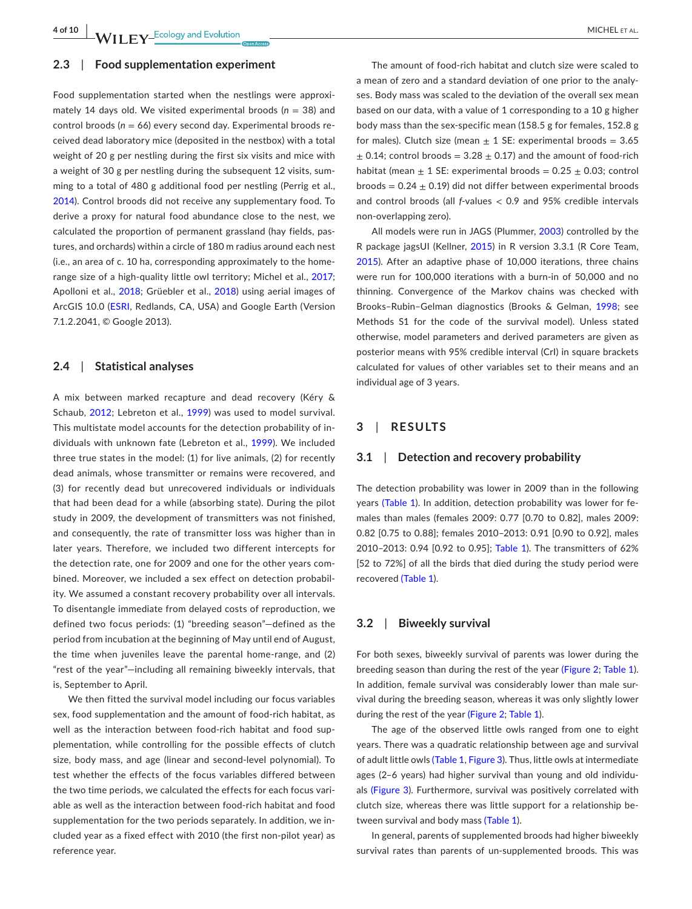**4 of 10 <sup>|</sup>**  MICHEL et al.

#### **2.3**  | **Food supplementation experiment**

Food supplementation started when the nestlings were approximately 14 days old. We visited experimental broods (*n* = 38) and control broods (*n* = 66) every second day. Experimental broods received dead laboratory mice (deposited in the nestbox) with a total weight of 20 g per nestling during the first six visits and mice with a weight of 30 g per nestling during the subsequent 12 visits, summing to a total of 480 g additional food per nestling (Perrig et al., [2014](#page-8-15)). Control broods did not receive any supplementary food. To derive a proxy for natural food abundance close to the nest, we calculated the proportion of permanent grassland (hay fields, pastures, and orchards) within a circle of 180 m radius around each nest (i.e., an area of c. 10 ha, corresponding approximately to the home-range size of a high-quality little owl territory; Michel et al., [2017](#page-8-18); Apolloni et al., [2018](#page-7-2); Grüebler et al., [2018](#page-8-14)) using aerial images of ArcGIS 10.0 ([ESRI,](#page-8-22) Redlands, CA, USA) and Google Earth (Version 7.1.2.2041, © Google 2013).

## **2.4**  | **Statistical analyses**

A mix between marked recapture and dead recovery (Kéry & Schaub, [2012](#page-8-23); Lebreton et al., [1999](#page-8-24)) was used to model survival. This multistate model accounts for the detection probability of individuals with unknown fate (Lebreton et al., [1999](#page-8-24)). We included three true states in the model: (1) for live animals, (2) for recently dead animals, whose transmitter or remains were recovered, and (3) for recently dead but unrecovered individuals or individuals that had been dead for a while (absorbing state). During the pilot study in 2009, the development of transmitters was not finished, and consequently, the rate of transmitter loss was higher than in later years. Therefore, we included two different intercepts for the detection rate, one for 2009 and one for the other years combined. Moreover, we included a sex effect on detection probability. We assumed a constant recovery probability over all intervals. To disentangle immediate from delayed costs of reproduction, we defined two focus periods: (1) "breeding season"—defined as the period from incubation at the beginning of May until end of August, the time when juveniles leave the parental home-range, and (2) "rest of the year"—including all remaining biweekly intervals, that is, September to April.

We then fitted the survival model including our focus variables sex, food supplementation and the amount of food-rich habitat, as well as the interaction between food-rich habitat and food supplementation, while controlling for the possible effects of clutch size, body mass, and age (linear and second-level polynomial). To test whether the effects of the focus variables differed between the two time periods, we calculated the effects for each focus variable as well as the interaction between food-rich habitat and food supplementation for the two periods separately. In addition, we included year as a fixed effect with 2010 (the first non-pilot year) as reference year.

The amount of food-rich habitat and clutch size were scaled to a mean of zero and a standard deviation of one prior to the analyses. Body mass was scaled to the deviation of the overall sex mean based on our data, with a value of 1 corresponding to a 10 g higher body mass than the sex-specific mean (158.5 g for females, 152.8 g for males). Clutch size (mean  $\pm$  1 SE: experimental broods = 3.65  $\pm$  0.14; control broods = 3.28  $\pm$  0.17) and the amount of food-rich habitat (mean  $\pm$  1 SE: experimental broods = 0.25  $\pm$  0.03; control broods =  $0.24 \pm 0.19$ ) did not differ between experimental broods and control broods (all *f*-values < 0.9 and 95% credible intervals non-overlapping zero).

All models were run in JAGS (Plummer, [2003](#page-9-14)) controlled by the R package jagsUI (Kellner, [2015](#page-8-25)) in R version 3.3.1 (R Core Team, [2015](#page-9-15)). After an adaptive phase of 10,000 iterations, three chains were run for 100,000 iterations with a burn-in of 50,000 and no thinning. Convergence of the Markov chains was checked with Brooks–Rubin–Gelman diagnostics (Brooks & Gelman, [1998](#page-7-3); see Methods S1 for the code of the survival model). Unless stated otherwise, model parameters and derived parameters are given as posterior means with 95% credible interval (CrI) in square brackets calculated for values of other variables set to their means and an individual age of 3 years.

### **3**  | **RESULTS**

#### **3.1**  | **Detection and recovery probability**

The detection probability was lower in 2009 than in the following years (Table [1](#page-4-0)). In addition, detection probability was lower for females than males (females 2009: 0.77 [0.70 to 0.82], males 2009: 0.82 [0.75 to 0.88]; females 2010–2013: 0.91 [0.90 to 0.92], males 2010–2013: 0.94 [0.92 to 0.95]; Table [1](#page-4-0)). The transmitters of 62% [52 to 72%] of all the birds that died during the study period were recovered (Table [1](#page-4-0)).

#### **3.2**  | **Biweekly survival**

For both sexes, biweekly survival of parents was lower during the breeding season than during the rest of the year (Figure [2](#page-4-1); Table [1\)](#page-4-0). In addition, female survival was considerably lower than male survival during the breeding season, whereas it was only slightly lower during the rest of the year (Figure [2](#page-4-1); Table [1](#page-4-0)).

The age of the observed little owls ranged from one to eight years. There was a quadratic relationship between age and survival of adult little owls (Table [1](#page-4-0), Figure [3](#page-4-2)). Thus, little owls at intermediate ages (2–6 years) had higher survival than young and old individuals (Figure [3](#page-4-2)). Furthermore, survival was positively correlated with clutch size, whereas there was little support for a relationship between survival and body mass (Table [1\)](#page-4-0).

In general, parents of supplemented broods had higher biweekly survival rates than parents of un-supplemented broods. This was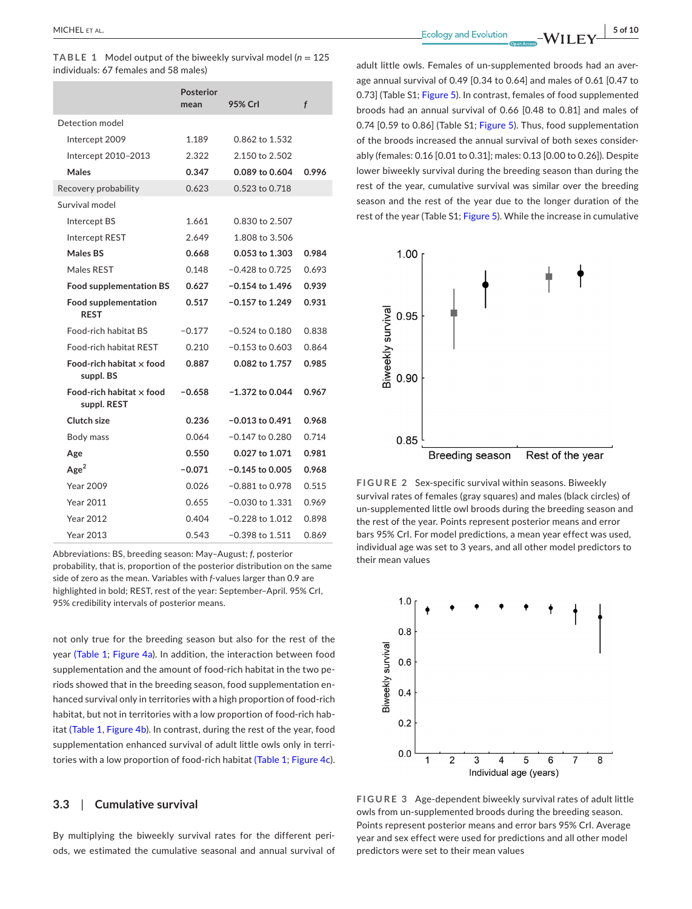<span id="page-4-0"></span>**TABLE 1** Model output of the biweekly survival model ( $n = 125$ ) individuals: 67 females and 58 males)

|                                            | Posterior<br>mean | 95% Crl           | f     |
|--------------------------------------------|-------------------|-------------------|-------|
| Detection model                            |                   |                   |       |
| Intercept 2009                             | 1.189             | 0.862 to 1.532    |       |
| Intercept 2010-2013                        | 2.322             | 2.150 to 2.502    |       |
| Males                                      | 0.347             | 0.089 to 0.604    | 0.996 |
| Recovery probability                       | 0.623             | 0.523 to 0.718    |       |
| Survival model                             |                   |                   |       |
| Intercept BS                               | 1.661             | 0.830 to 2.507    |       |
| Intercept REST                             | 2.649             | 1.808 to 3.506    |       |
| Males BS                                   | 0.668             | 0.053 to 1.303    | 0.984 |
| Males REST                                 | 0.148             | $-0.428$ to 0.725 | 0.693 |
| <b>Food supplementation BS</b>             | 0.627             | $-0.154$ to 1.496 | 0.939 |
| <b>Food supplementation</b><br><b>REST</b> | 0.517             | $-0.157$ to 1.249 | 0.931 |
| Food-rich habitat BS                       | $-0.177$          | $-0.524$ to 0.180 | 0.838 |
| <b>Food-rich habitat REST</b>              | 0.210             | $-0.153$ to 0.603 | 0.864 |
| Food-rich habitat x food<br>suppl. BS      | 0.887             | 0.082 to 1.757    | 0.985 |
| Food-rich habitat x food<br>suppl. REST    | $-0.658$          | $-1.372$ to 0.044 | 0.967 |
| Clutch size                                | 0.236             | $-0.013$ to 0.491 | 0.968 |
| Body mass                                  | 0.064             | $-0.147$ to 0.280 | 0.714 |
| Age                                        | 0.550             | 0.027 to 1.071    | 0.981 |
| Age <sup>2</sup>                           | $-0.071$          | $-0.145$ to 0.005 | 0.968 |
| Year 2009                                  | 0.026             | $-0.881$ to 0.978 | 0.515 |
| Year 2011                                  | 0.655             | $-0.030$ to 1.331 | 0.969 |
| <b>Year 2012</b>                           | 0.404             | $-0.228$ to 1.012 | 0.898 |
| Year 2013                                  | 0.543             | $-0.398$ to 1.511 | 0.869 |

Abbreviations: BS, breeding season: May–August; *f*, posterior probability, that is, proportion of the posterior distribution on the same side of zero as the mean. Variables with *f*-values larger than 0.9 are highlighted in bold; REST, rest of the year: September–April. 95% CrI, 95% credibility intervals of posterior means.

not only true for the breeding season but also for the rest of the year (Table [1](#page-4-0); Figure [4a](#page-5-0)). In addition, the interaction between food supplementation and the amount of food-rich habitat in the two periods showed that in the breeding season, food supplementation enhanced survival only in territories with a high proportion of food-rich habitat, but not in territories with a low proportion of food-rich habitat (Table [1](#page-4-0), Figure [4b\)](#page-5-0). In contrast, during the rest of the year, food supplementation enhanced survival of adult little owls only in territories with a low proportion of food-rich habitat (Table [1](#page-4-0); Figure [4c](#page-5-0)).

#### **3.3**  | **Cumulative survival**

By multiplying the biweekly survival rates for the different periods, we estimated the cumulative seasonal and annual survival of

adult little owls. Females of un-supplemented broods had an average annual survival of 0.49 [0.34 to 0.64] and males of 0.61 [0.47 to 0.73] (Table S1; Figure [5](#page-5-1)). In contrast, females of food supplemented broods had an annual survival of 0.66 [0.48 to 0.81] and males of 0.74 [0.59 to 0.86] (Table S1; Figure [5](#page-5-1)). Thus, food supplementation of the broods increased the annual survival of both sexes considerably (females: 0.16 [0.01 to 0.31]; males: 0.13 [0.00 to 0.26]). Despite lower biweekly survival during the breeding season than during the rest of the year, cumulative survival was similar over the breeding season and the rest of the year due to the longer duration of the rest of the year (Table S1; Figure [5](#page-5-1)). While the increase in cumulative



<span id="page-4-1"></span>**FIGURE 2** Sex-specific survival within seasons. Biweekly survival rates of females (gray squares) and males (black circles) of un-supplemented little owl broods during the breeding season and the rest of the year. Points represent posterior means and error bars 95% CrI. For model predictions, a mean year effect was used, individual age was set to 3 years, and all other model predictors to their mean values



<span id="page-4-2"></span>**FIGURE 3** Age-dependent biweekly survival rates of adult little owls from un-supplemented broods during the breeding season. Points represent posterior means and error bars 95% CrI. Average year and sex effect were used for predictions and all other model predictors were set to their mean values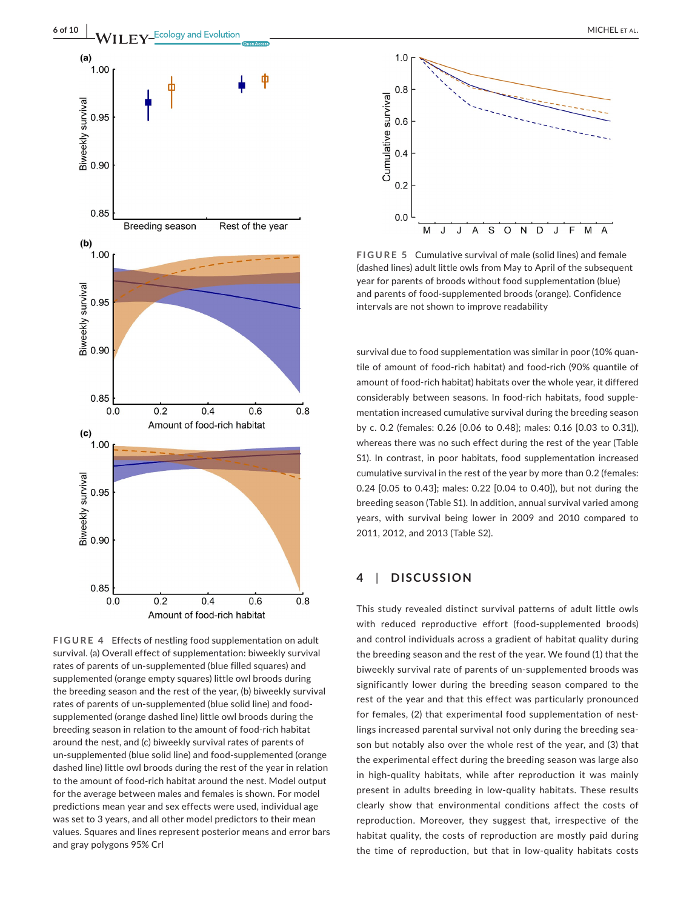

<span id="page-5-0"></span>**FIGURE 4** Effects of nestling food supplementation on adult survival. (a) Overall effect of supplementation: biweekly survival rates of parents of un-supplemented (blue filled squares) and supplemented (orange empty squares) little owl broods during the breeding season and the rest of the year, (b) biweekly survival rates of parents of un-supplemented (blue solid line) and foodsupplemented (orange dashed line) little owl broods during the breeding season in relation to the amount of food-rich habitat around the nest, and (c) biweekly survival rates of parents of un-supplemented (blue solid line) and food-supplemented (orange dashed line) little owl broods during the rest of the year in relation to the amount of food-rich habitat around the nest. Model output for the average between males and females is shown. For model predictions mean year and sex effects were used, individual age was set to 3 years, and all other model predictors to their mean values. Squares and lines represent posterior means and error bars and gray polygons 95% CrI



<span id="page-5-1"></span>**FIGURE 5** Cumulative survival of male (solid lines) and female (dashed lines) adult little owls from May to April of the subsequent year for parents of broods without food supplementation (blue) and parents of food-supplemented broods (orange). Confidence intervals are not shown to improve readability

survival due to food supplementation was similar in poor (10% quantile of amount of food-rich habitat) and food-rich (90% quantile of amount of food-rich habitat) habitats over the whole year, it differed considerably between seasons. In food-rich habitats, food supplementation increased cumulative survival during the breeding season by c. 0.2 (females: 0.26 [0.06 to 0.48]; males: 0.16 [0.03 to 0.31]), whereas there was no such effect during the rest of the year (Table S1). In contrast, in poor habitats, food supplementation increased cumulative survival in the rest of the year by more than 0.2 (females: 0.24 [0.05 to 0.43]; males: 0.22 [0.04 to 0.40]), but not during the breeding season (Table S1). In addition, annual survival varied among years, with survival being lower in 2009 and 2010 compared to 2011, 2012, and 2013 (Table S2).

## **4**  | **DISCUSSION**

This study revealed distinct survival patterns of adult little owls with reduced reproductive effort (food-supplemented broods) and control individuals across a gradient of habitat quality during the breeding season and the rest of the year. We found (1) that the biweekly survival rate of parents of un-supplemented broods was significantly lower during the breeding season compared to the rest of the year and that this effect was particularly pronounced for females, (2) that experimental food supplementation of nestlings increased parental survival not only during the breeding season but notably also over the whole rest of the year, and (3) that the experimental effect during the breeding season was large also in high-quality habitats, while after reproduction it was mainly present in adults breeding in low-quality habitats. These results clearly show that environmental conditions affect the costs of reproduction. Moreover, they suggest that, irrespective of the habitat quality, the costs of reproduction are mostly paid during the time of reproduction, but that in low-quality habitats costs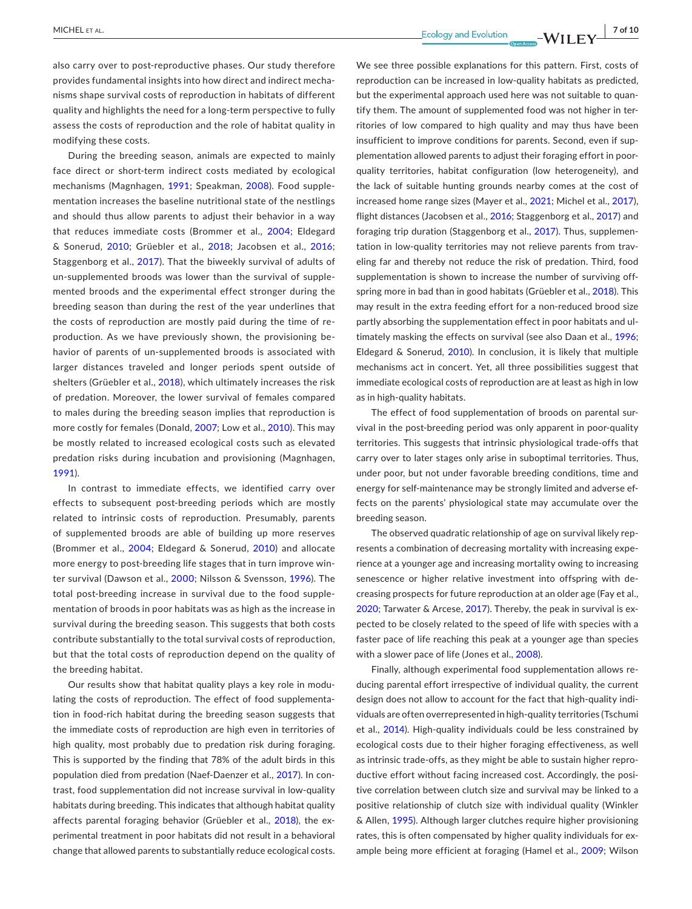also carry over to post-reproductive phases. Our study therefore provides fundamental insights into how direct and indirect mechanisms shape survival costs of reproduction in habitats of different quality and highlights the need for a long-term perspective to fully assess the costs of reproduction and the role of habitat quality in modifying these costs.

During the breeding season, animals are expected to mainly face direct or short-term indirect costs mediated by ecological mechanisms (Magnhagen, [1991](#page-8-8); Speakman, [2008\)](#page-9-1). Food supplementation increases the baseline nutritional state of the nestlings and should thus allow parents to adjust their behavior in a way that reduces immediate costs (Brommer et al., [2004](#page-7-4); Eldegard & Sonerud, [2010](#page-8-26); Grüebler et al., [2018](#page-8-14); Jacobsen et al., [2016](#page-8-12); Staggenborg et al., [2017](#page-9-7)). That the biweekly survival of adults of un-supplemented broods was lower than the survival of supplemented broods and the experimental effect stronger during the breeding season than during the rest of the year underlines that the costs of reproduction are mostly paid during the time of reproduction. As we have previously shown, the provisioning behavior of parents of un-supplemented broods is associated with larger distances traveled and longer periods spent outside of shelters (Grüebler et al., [2018](#page-8-14)), which ultimately increases the risk of predation. Moreover, the lower survival of females compared to males during the breeding season implies that reproduction is more costly for females (Donald, [2007;](#page-8-27) Low et al., [2010](#page-8-28)). This may be mostly related to increased ecological costs such as elevated predation risks during incubation and provisioning (Magnhagen, [1991](#page-8-8)).

In contrast to immediate effects, we identified carry over effects to subsequent post-breeding periods which are mostly related to intrinsic costs of reproduction. Presumably, parents of supplemented broods are able of building up more reserves (Brommer et al., [2004](#page-7-4); Eldegard & Sonerud, [2010\)](#page-8-26) and allocate more energy to post-breeding life stages that in turn improve winter survival (Dawson et al., [2000](#page-8-29); Nilsson & Svensson, [1996](#page-8-30)). The total post-breeding increase in survival due to the food supplementation of broods in poor habitats was as high as the increase in survival during the breeding season. This suggests that both costs contribute substantially to the total survival costs of reproduction, but that the total costs of reproduction depend on the quality of the breeding habitat.

Our results show that habitat quality plays a key role in modulating the costs of reproduction. The effect of food supplementation in food-rich habitat during the breeding season suggests that the immediate costs of reproduction are high even in territories of high quality, most probably due to predation risk during foraging. This is supported by the finding that 78% of the adult birds in this population died from predation (Naef-Daenzer et al., [2017](#page-8-17)). In contrast, food supplementation did not increase survival in low-quality habitats during breeding. This indicates that although habitat quality affects parental foraging behavior (Grüebler et al., [2018](#page-8-14)), the experimental treatment in poor habitats did not result in a behavioral change that allowed parents to substantially reduce ecological costs.

We see three possible explanations for this pattern. First, costs of reproduction can be increased in low-quality habitats as predicted, but the experimental approach used here was not suitable to quantify them. The amount of supplemented food was not higher in territories of low compared to high quality and may thus have been insufficient to improve conditions for parents. Second, even if supplementation allowed parents to adjust their foraging effort in poorquality territories, habitat configuration (low heterogeneity), and the lack of suitable hunting grounds nearby comes at the cost of increased home range sizes (Mayer et al., [2021](#page-8-31); Michel et al., [2017\)](#page-8-18), flight distances (Jacobsen et al., [2016;](#page-8-12) Staggenborg et al., [2017](#page-9-7)) and foraging trip duration (Staggenborg et al., [2017\)](#page-9-7). Thus, supplementation in low-quality territories may not relieve parents from traveling far and thereby not reduce the risk of predation. Third, food supplementation is shown to increase the number of surviving offspring more in bad than in good habitats (Grüebler et al., [2018\)](#page-8-14). This may result in the extra feeding effort for a non-reduced brood size partly absorbing the supplementation effect in poor habitats and ul-timately masking the effects on survival (see also Daan et al., [1996](#page-7-5); Eldegard & Sonerud, [2010](#page-8-26)). In conclusion, it is likely that multiple mechanisms act in concert. Yet, all three possibilities suggest that immediate ecological costs of reproduction are at least as high in low as in high-quality habitats.

The effect of food supplementation of broods on parental survival in the post-breeding period was only apparent in poor-quality territories. This suggests that intrinsic physiological trade-offs that carry over to later stages only arise in suboptimal territories. Thus, under poor, but not under favorable breeding conditions, time and energy for self-maintenance may be strongly limited and adverse effects on the parents' physiological state may accumulate over the breeding season.

The observed quadratic relationship of age on survival likely represents a combination of decreasing mortality with increasing experience at a younger age and increasing mortality owing to increasing senescence or higher relative investment into offspring with decreasing prospects for future reproduction at an older age (Fay et al., [2020](#page-8-32); Tarwater & Arcese, [2017\)](#page-9-16). Thereby, the peak in survival is expected to be closely related to the speed of life with species with a faster pace of life reaching this peak at a younger age than species with a slower pace of life (Jones et al., [2008](#page-8-33)).

Finally, although experimental food supplementation allows reducing parental effort irrespective of individual quality, the current design does not allow to account for the fact that high-quality individuals are often overrepresented in high-quality territories (Tschumi et al., [2014](#page-9-17)). High-quality individuals could be less constrained by ecological costs due to their higher foraging effectiveness, as well as intrinsic trade-offs, as they might be able to sustain higher reproductive effort without facing increased cost. Accordingly, the positive correlation between clutch size and survival may be linked to a positive relationship of clutch size with individual quality (Winkler & Allen, [1995](#page-9-18)). Although larger clutches require higher provisioning rates, this is often compensated by higher quality individuals for example being more efficient at foraging (Hamel et al., [2009](#page-8-13); Wilson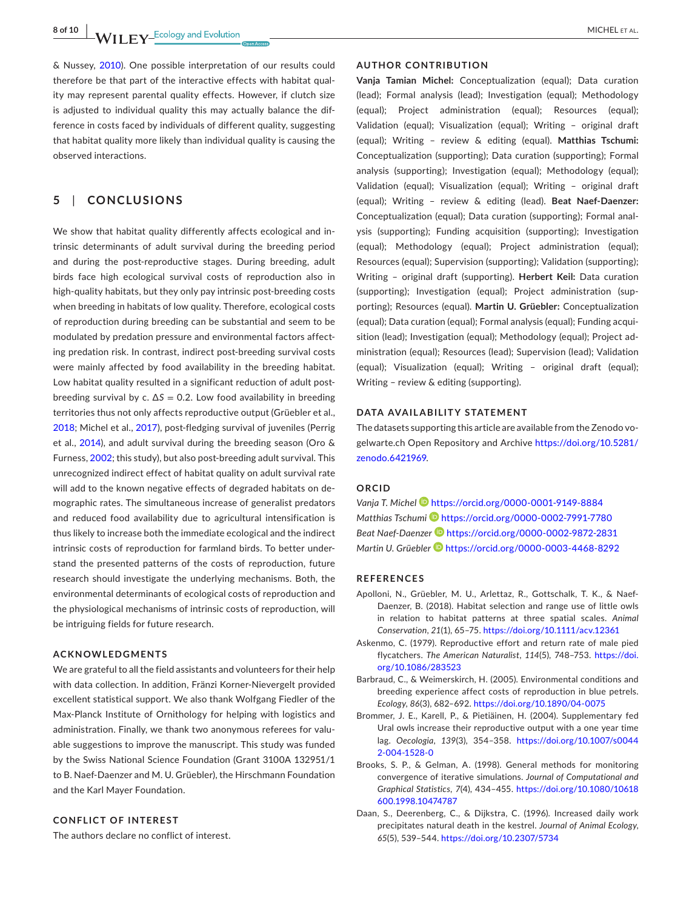**8 of 10 <sup>|</sup>**  MICHEL et al.

& Nussey, [2010](#page-9-9)). One possible interpretation of our results could therefore be that part of the interactive effects with habitat quality may represent parental quality effects. However, if clutch size is adjusted to individual quality this may actually balance the difference in costs faced by individuals of different quality, suggesting that habitat quality more likely than individual quality is causing the observed interactions.

## **5**  | **CONCLUSIONS**

We show that habitat quality differently affects ecological and intrinsic determinants of adult survival during the breeding period and during the post-reproductive stages. During breeding, adult birds face high ecological survival costs of reproduction also in high-quality habitats, but they only pay intrinsic post-breeding costs when breeding in habitats of low quality. Therefore, ecological costs of reproduction during breeding can be substantial and seem to be modulated by predation pressure and environmental factors affecting predation risk. In contrast, indirect post-breeding survival costs were mainly affected by food availability in the breeding habitat. Low habitat quality resulted in a significant reduction of adult postbreeding survival by c.  $\Delta S = 0.2$ . Low food availability in breeding territories thus not only affects reproductive output (Grüebler et al., [2018](#page-8-14); Michel et al., [2017](#page-8-18)), post-fledging survival of juveniles (Perrig et al., [2014\)](#page-8-15), and adult survival during the breeding season (Oro & Furness, [2002](#page-8-34); this study), but also post-breeding adult survival. This unrecognized indirect effect of habitat quality on adult survival rate will add to the known negative effects of degraded habitats on demographic rates. The simultaneous increase of generalist predators and reduced food availability due to agricultural intensification is thus likely to increase both the immediate ecological and the indirect intrinsic costs of reproduction for farmland birds. To better understand the presented patterns of the costs of reproduction, future research should investigate the underlying mechanisms. Both, the environmental determinants of ecological costs of reproduction and the physiological mechanisms of intrinsic costs of reproduction, will be intriguing fields for future research.

#### **ACKNOWLEDGMENTS**

We are grateful to all the field assistants and volunteers for their help with data collection. In addition, Fränzi Korner-Nievergelt provided excellent statistical support. We also thank Wolfgang Fiedler of the Max-Planck Institute of Ornithology for helping with logistics and administration. Finally, we thank two anonymous referees for valuable suggestions to improve the manuscript. This study was funded by the Swiss National Science Foundation (Grant 3100A 132951/1 to B. Naef-Daenzer and M. U. Grüebler), the Hirschmann Foundation and the Karl Mayer Foundation.

#### **CONFLICT OF INTEREST**

The authors declare no conflict of interest.

#### **AUTHOR CONTRIBUTION**

**Vanja Tamian Michel:** Conceptualization (equal); Data curation (lead); Formal analysis (lead); Investigation (equal); Methodology (equal); Project administration (equal); Resources (equal); Validation (equal); Visualization (equal); Writing – original draft (equal); Writing – review & editing (equal). **Matthias Tschumi:** Conceptualization (supporting); Data curation (supporting); Formal analysis (supporting); Investigation (equal); Methodology (equal); Validation (equal); Visualization (equal); Writing – original draft (equal); Writing – review & editing (lead). **Beat Naef-Daenzer:** Conceptualization (equal); Data curation (supporting); Formal analysis (supporting); Funding acquisition (supporting); Investigation (equal); Methodology (equal); Project administration (equal); Resources (equal); Supervision (supporting); Validation (supporting); Writing – original draft (supporting). **Herbert Keil:** Data curation (supporting); Investigation (equal); Project administration (supporting); Resources (equal). **Martin U. Grüebler:** Conceptualization (equal); Data curation (equal); Formal analysis (equal); Funding acquisition (lead); Investigation (equal); Methodology (equal); Project administration (equal); Resources (lead); Supervision (lead); Validation (equal); Visualization (equal); Writing – original draft (equal); Writing – review & editing (supporting).

### **DATA AVAILABILITY STATEMENT**

The datasets supporting this article are available from the Zenodo vogelwarte.ch Open Repository and Archive [https://doi.org/10.5281/](https://doi.org/10.5281/zenodo.6421969) [zenodo.6421969](https://doi.org/10.5281/zenodo.6421969).

#### **ORCID**

*Vanja T. Michel* <https://orcid.org/0000-0001-9149-8884> *Matthias Tschum[i](https://orcid.org/0000-0002-7991-7780)* <https://orcid.org/0000-0002-7991-7780> *Beat Naef-Daenzer* <https://orcid.org/0000-0002-9872-2831> *Martin U. Grüebler* **b** <https://orcid.org/0000-0003-4468-8292>

#### **REFERENCES**

- <span id="page-7-2"></span>Apolloni, N., Grüebler, M. U., Arlettaz, R., Gottschalk, T. K., & Naef-Daenzer, B. (2018). Habitat selection and range use of little owls in relation to habitat patterns at three spatial scales. *Animal Conservation*, *21*(1), 65–75. <https://doi.org/10.1111/acv.12361>
- <span id="page-7-0"></span>Askenmo, C. (1979). Reproductive effort and return rate of male pied flycatchers. *The American Naturalist*, *114*(5), 748–753. [https://doi.](https://doi.org/10.1086/283523) [org/10.1086/283523](https://doi.org/10.1086/283523)
- <span id="page-7-1"></span>Barbraud, C., & Weimerskirch, H. (2005). Environmental conditions and breeding experience affect costs of reproduction in blue petrels. *Ecology*, *86*(3), 682–692. <https://doi.org/10.1890/04-0075>
- <span id="page-7-4"></span>Brommer, J. E., Karell, P., & Pietiäinen, H. (2004). Supplementary fed Ural owls increase their reproductive output with a one year time lag. *Oecologia*, *139*(3), 354–358. [https://doi.org/10.1007/s0044](https://doi.org/10.1007/s00442-004-1528-0) [2-004-1528-0](https://doi.org/10.1007/s00442-004-1528-0)
- <span id="page-7-3"></span>Brooks, S. P., & Gelman, A. (1998). General methods for monitoring convergence of iterative simulations. *Journal of Computational and Graphical Statistics*, *7*(4), 434–455. [https://doi.org/10.1080/10618](https://doi.org/10.1080/10618600.1998.10474787) [600.1998.10474787](https://doi.org/10.1080/10618600.1998.10474787)
- <span id="page-7-5"></span>Daan, S., Deerenberg, C., & Dijkstra, C. (1996). Increased daily work precipitates natural death in the kestrel. *Journal of Animal Ecology*, *65*(5), 539–544. <https://doi.org/10.2307/5734>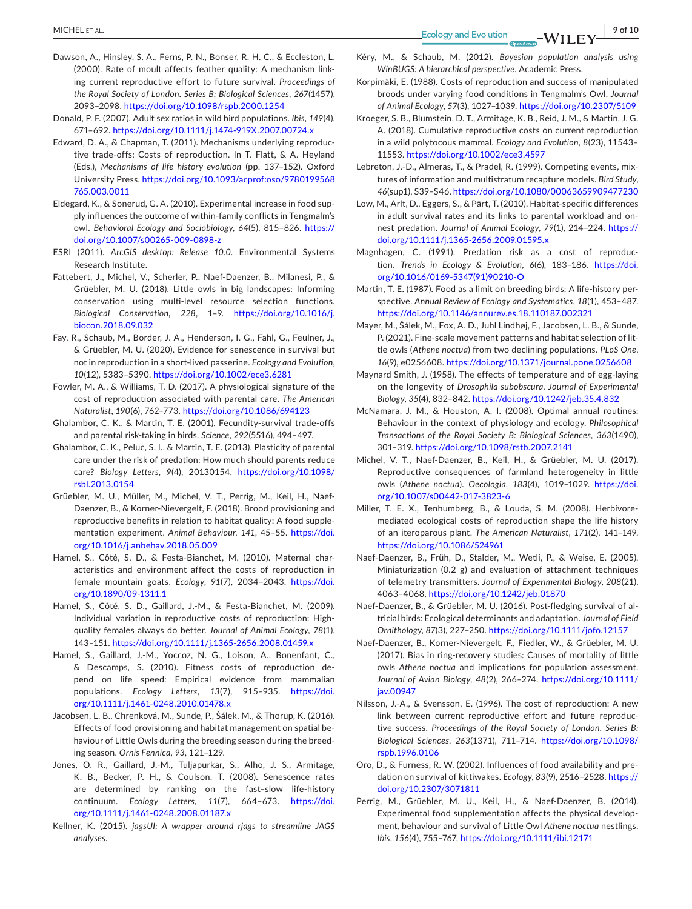- <span id="page-8-29"></span>Dawson, A., Hinsley, S. A., Ferns, P. N., Bonser, R. H. C., & Eccleston, L. (2000). Rate of moult affects feather quality: A mechanism linking current reproductive effort to future survival. *Proceedings of the Royal Society of London. Series B: Biological Sciences*, *267*(1457), 2093–2098. <https://doi.org/10.1098/rspb.2000.1254>
- <span id="page-8-27"></span>Donald, P. F. (2007). Adult sex ratios in wild bird populations. *Ibis*, *149*(4), 671–692. <https://doi.org/10.1111/j.1474-919X.2007.00724.x>
- <span id="page-8-3"></span>Edward, D. A., & Chapman, T. (2011). Mechanisms underlying reproductive trade-offs: Costs of reproduction. In T. Flatt, & A. Heyland (Eds.), *Mechanisms of life history evolution* (pp. 137–152). Oxford University Press. [https://doi.org/10.1093/acprof:oso/9780199568](https://doi.org/10.1093/acprof:oso/9780199568765.003.0011) [765.003.0011](https://doi.org/10.1093/acprof:oso/9780199568765.003.0011)
- <span id="page-8-26"></span>Eldegard, K., & Sonerud, G. A. (2010). Experimental increase in food supply influences the outcome of within-family conflicts in Tengmalm's owl. *Behavioral Ecology and Sociobiology*, *64*(5), 815–826. [https://](https://doi.org/10.1007/s00265-009-0898-z) [doi.org/10.1007/s00265-009-0898-z](https://doi.org/10.1007/s00265-009-0898-z)
- <span id="page-8-22"></span>ESRI (2011). *ArcGIS desktop: Release 10.0*. Environmental Systems Research Institute.
- <span id="page-8-19"></span>Fattebert, J., Michel, V., Scherler, P., Naef-Daenzer, B., Milanesi, P., & Grüebler, M. U. (2018). Little owls in big landscapes: Informing conservation using multi-level resource selection functions. *Biological Conservation*, *228*, 1–9. [https://doi.org/10.1016/j.](https://doi.org/10.1016/j.biocon.2018.09.032) [biocon.2018.09.032](https://doi.org/10.1016/j.biocon.2018.09.032)
- <span id="page-8-32"></span>Fay, R., Schaub, M., Border, J. A., Henderson, I. G., Fahl, G., Feulner, J., & Grüebler, M. U. (2020). Evidence for senescence in survival but not in reproduction in a short-lived passerine. *Ecology and Evolution*, *10*(12), 5383–5390. <https://doi.org/10.1002/ece3.6281>
- <span id="page-8-5"></span>Fowler, M. A., & Williams, T. D. (2017). A physiological signature of the cost of reproduction associated with parental care. *The American Naturalist*, *190*(6), 762–773. <https://doi.org/10.1086/694123>
- <span id="page-8-0"></span>Ghalambor, C. K., & Martin, T. E. (2001). Fecundity-survival trade-offs and parental risk-taking in birds. *Science*, *292*(5516), 494–497.
- <span id="page-8-9"></span>Ghalambor, C. K., Peluc, S. I., & Martin, T. E. (2013). Plasticity of parental care under the risk of predation: How much should parents reduce care? *Biology Letters*, *9*(4), 20130154. [https://doi.org/10.1098/](https://doi.org/10.1098/rsbl.2013.0154) [rsbl.2013.0154](https://doi.org/10.1098/rsbl.2013.0154)
- <span id="page-8-14"></span>Grüebler, M. U., Müller, M., Michel, V. T., Perrig, M., Keil, H., Naef-Daenzer, B., & Korner-Nievergelt, F. (2018). Brood provisioning and reproductive benefits in relation to habitat quality: A food supplementation experiment. *Animal Behaviour*, *141*, 45–55. [https://doi.](https://doi.org/10.1016/j.anbehav.2018.05.009) [org/10.1016/j.anbehav.2018.05.009](https://doi.org/10.1016/j.anbehav.2018.05.009)
- <span id="page-8-11"></span>Hamel, S., Côté, S. D., & Festa-Bianchet, M. (2010). Maternal characteristics and environment affect the costs of reproduction in female mountain goats. *Ecology*, *91*(7), 2034–2043. [https://doi.](https://doi.org/10.1890/09-1311.1) [org/10.1890/09-1311.1](https://doi.org/10.1890/09-1311.1)
- <span id="page-8-13"></span>Hamel, S., Côté, S. D., Gaillard, J.-M., & Festa-Bianchet, M. (2009). Individual variation in reproductive costs of reproduction: Highquality females always do better. *Journal of Animal Ecology*, *78*(1), 143–151. <https://doi.org/10.1111/j.1365-2656.2008.01459.x>
- <span id="page-8-16"></span>Hamel, S., Gaillard, J.-M., Yoccoz, N. G., Loison, A., Bonenfant, C., & Descamps, S. (2010). Fitness costs of reproduction depend on life speed: Empirical evidence from mammalian populations. *Ecology Letters*, *13*(7), 915–935. [https://doi.](https://doi.org/10.1111/j.1461-0248.2010.01478.x) [org/10.1111/j.1461-0248.2010.01478.x](https://doi.org/10.1111/j.1461-0248.2010.01478.x)
- <span id="page-8-12"></span>Jacobsen, L. B., Chrenková, M., Sunde, P., Šálek, M., & Thorup, K. (2016). Effects of food provisioning and habitat management on spatial behaviour of Little Owls during the breeding season during the breeding season. *Ornis Fennica*, *93*, 121–129.
- <span id="page-8-33"></span>Jones, O. R., Gaillard, J.-M., Tuljapurkar, S., Alho, J. S., Armitage, K. B., Becker, P. H., & Coulson, T. (2008). Senescence rates are determined by ranking on the fast–slow life-history continuum. *Ecology Letters*, *11*(7), 664–673. [https://doi.](https://doi.org/10.1111/j.1461-0248.2008.01187.x) [org/10.1111/j.1461-0248.2008.01187.x](https://doi.org/10.1111/j.1461-0248.2008.01187.x)
- <span id="page-8-25"></span>Kellner, K. (2015). *jagsUI: A wrapper around rjags to streamline JAGS analyses*.
- <span id="page-8-23"></span>Kéry, M., & Schaub, M. (2012). *Bayesian population analysis using WinBUGS: A hierarchical perspective*. Academic Press.
- <span id="page-8-1"></span>Korpimäki, E. (1988). Costs of reproduction and success of manipulated broods under varying food conditions in Tengmalm's Owl. *Journal of Animal Ecology*, *57*(3), 1027–1039. <https://doi.org/10.2307/5109>
- <span id="page-8-6"></span>Kroeger, S. B., Blumstein, D. T., Armitage, K. B., Reid, J. M., & Martin, J. G. A. (2018). Cumulative reproductive costs on current reproduction in a wild polytocous mammal. *Ecology and Evolution*, *8*(23), 11543– 11553. <https://doi.org/10.1002/ece3.4597>
- <span id="page-8-24"></span>Lebreton, J.-D., Almeras, T., & Pradel, R. (1999). Competing events, mixtures of information and multistratum recapture models. *Bird Study*, *46*(sup1), S39–S46. <https://doi.org/10.1080/00063659909477230>
- <span id="page-8-28"></span>Low, M., Arlt, D., Eggers, S., & Pärt, T. (2010). Habitat-specific differences in adult survival rates and its links to parental workload and onnest predation. *Journal of Animal Ecology*, *79*(1), 214–224. [https://](https://doi.org/10.1111/j.1365-2656.2009.01595.x) [doi.org/10.1111/j.1365-2656.2009.01595.x](https://doi.org/10.1111/j.1365-2656.2009.01595.x)
- <span id="page-8-8"></span>Magnhagen, C. (1991). Predation risk as a cost of reproduction. *Trends in Ecology & Evolution*, *6*(6), 183–186. [https://doi.](https://doi.org/10.1016/0169-5347(91)90210-O) [org/10.1016/0169-5347\(91\)90210-O](https://doi.org/10.1016/0169-5347(91)90210-O)
- <span id="page-8-10"></span>Martin, T. E. (1987). Food as a limit on breeding birds: A life-history perspective. *Annual Review of Ecology and Systematics*, *18*(1), 453–487. <https://doi.org/10.1146/annurev.es.18.110187.002321>
- <span id="page-8-31"></span>Mayer, M., Šálek, M., Fox, A. D., Juhl Lindhøj, F., Jacobsen, L. B., & Sunde, P. (2021). Fine-scale movement patterns and habitat selection of little owls (*Athene noctua*) from two declining populations. *PLoS One*, *16*(9), e0256608. <https://doi.org/10.1371/journal.pone.0256608>
- <span id="page-8-2"></span>Maynard Smith, J. (1958). The effects of temperature and of egg-laying on the longevity of *Drosophila subobscura*. *Journal of Experimental Biology*, *35*(4), 832–842. <https://doi.org/10.1242/jeb.35.4.832>
- <span id="page-8-4"></span>McNamara, J. M., & Houston, A. I. (2008). Optimal annual routines: Behaviour in the context of physiology and ecology. *Philosophical Transactions of the Royal Society B: Biological Sciences*, *363*(1490), 301–319. <https://doi.org/10.1098/rstb.2007.2141>
- <span id="page-8-18"></span>Michel, V. T., Naef-Daenzer, B., Keil, H., & Grüebler, M. U. (2017). Reproductive consequences of farmland heterogeneity in little owls (*Athene noctua*). *Oecologia*, *183*(4), 1019–1029. [https://doi.](https://doi.org/10.1007/s00442-017-3823-6) [org/10.1007/s00442-017-3823-6](https://doi.org/10.1007/s00442-017-3823-6)
- <span id="page-8-7"></span>Miller, T. E. X., Tenhumberg, B., & Louda, S. M. (2008). Herbivoremediated ecological costs of reproduction shape the life history of an iteroparous plant. *The American Naturalist*, *171*(2), 141–149. <https://doi.org/10.1086/524961>
- <span id="page-8-20"></span>Naef-Daenzer, B., Früh, D., Stalder, M., Wetli, P., & Weise, E. (2005). Miniaturization (0.2 g) and evaluation of attachment techniques of telemetry transmitters. *Journal of Experimental Biology*, *208*(21), 4063–4068. <https://doi.org/10.1242/jeb.01870>
- <span id="page-8-21"></span>Naef-Daenzer, B., & Grüebler, M. U. (2016). Post-fledging survival of altricial birds: Ecological determinants and adaptation. *Journal of Field Ornithology*, *87*(3), 227–250. <https://doi.org/10.1111/jofo.12157>
- <span id="page-8-17"></span>Naef-Daenzer, B., Korner-Nievergelt, F., Fiedler, W., & Grüebler, M. U. (2017). Bias in ring-recovery studies: Causes of mortality of little owls *Athene noctua* and implications for population assessment. *Journal of Avian Biology*, *48*(2), 266–274. [https://doi.org/10.1111/](https://doi.org/10.1111/jav.00947) [jav.00947](https://doi.org/10.1111/jav.00947)
- <span id="page-8-30"></span>Nilsson, J.-A., & Svensson, E. (1996). The cost of reproduction: A new link between current reproductive effort and future reproductive success. *Proceedings of the Royal Society of London. Series B: Biological Sciences*, *263*(1371), 711–714. [https://doi.org/10.1098/](https://doi.org/10.1098/rspb.1996.0106) [rspb.1996.0106](https://doi.org/10.1098/rspb.1996.0106)
- <span id="page-8-34"></span>Oro, D., & Furness, R. W. (2002). Influences of food availability and predation on survival of kittiwakes. *Ecology*, *83*(9), 2516–2528. [https://](https://doi.org/10.2307/3071811) [doi.org/10.2307/3071811](https://doi.org/10.2307/3071811)
- <span id="page-8-15"></span>Perrig, M., Grüebler, M. U., Keil, H., & Naef-Daenzer, B. (2014). Experimental food supplementation affects the physical development, behaviour and survival of Little Owl *Athene noctua* nestlings. *Ibis*, *156*(4), 755–767. <https://doi.org/10.1111/ibi.12171>